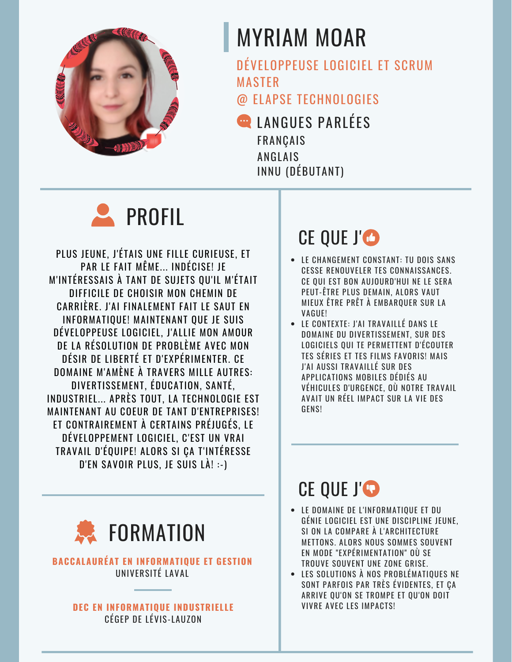

# **MYRIAM MOAR**

DÉVELOPPEUSE LOGICIEL ET SCRUM **MASTER** 

@ FLAPSE TECHNOLOGIES

**EN LANGUES PARLÉES FRANÇAIS ANGLAIS** INNU (DÉBUTANT)



PLUS JEUNE, J'ÉTAIS UNE FILLE CURIEUSE, ET PAR LE FAIT MÊME... INDÉCISE! JE M'INTÉRESSAIS À TANT DE SUJETS QU'IL M'ÉTAIT DIFFICILE DE CHOISIR MON CHEMIN DE CARRIÈRE. J'AI FINALEMENT FAIT LE SAUT EN INFORMATIQUE! MAINTENANT QUE JE SUIS DÉVELOPPEUSE LOGICIEL, J'ALLIE MON AMOUR DE LA RÉSOLUTION DE PROBLÈME AVEC MON DÉSIR DE LIBERTÉ ET D'EXPÉRIMENTER. CE DOMAINE M'AMÈNE À TRAVERS MILLE AUTRES: DIVERTISSEMENT, ÉDUCATION, SANTÉ, INDUSTRIEL... APRÈS TOUT, LA TECHNOLOGIE EST **MAINTENANT AU COEUR DE TANT D'ENTREPRISES!** ET CONTRAIREMENT À CERTAINS PRÉJUGÉS, LE DÉVELOPPEMENT LOGICIEL, C'EST UN VRAI TRAVAIL D'ÉQUIPE! ALORS SI CA T'INTÉRESSE D'EN SAVOIR PLUS. JE SUIS LÀ! :- )



### **BACCALAURÉAT EN INFORMATIOUE ET GESTION** UNIVERSITÉ LAVAL

### **DEC EN INFORMATIQUE INDUSTRIELLE** CÉGEP DE LÉVIS-LAUZON

### CE QUE J'O

- LE CHANGEMENT CONSTANT: TU DOIS SANS **CESSE RENOUVELER TES CONNAISSANCES.** CE QUI EST BON AUJOURD'HUI NE LE SERA PEUT-ÊTRE PLUS DEMAIN, ALORS VAUT MIEUX ÊTRE PRÊT À EMBARQUER SUR LA VAGUE!
- LE CONTEXTE: J'AI TRAVAILLÉ DANS LE DOMAINE DU DIVERTISSEMENT. SUR DES LOGICIELS QUI TE PERMETTENT D'ÉCOUTER TES SÉRIES ET TES FILMS FAVORIS! MAIS J'AI AUSSI TRAVAILLÉ SUR DES APPLICATIONS MOBILES DÉDIÉS AU VÉHICULES D'URGENCE. OÙ NOTRE TRAVAIL AVAIT UN RÉEL IMPACT SUR LA VIE DES GENSI

## CE QUE J'O

- LE DOMAINE DE L'INFORMATIOUE ET DU GÉNIE LOGICIEL EST UNE DISCIPLINE JEUNE. SI ON LA COMPARE À L'ARCHITECTURE METTONS. ALORS NOUS SOMMES SOUVENT EN MODE "EXPÉRIMENTATION" OÙ SE TROUVE SOUVENT UNE ZONE GRISE.
- LES SOLUTIONS À NOS PROBLÉMATIQUES NE SONT PARFOIS PAR TRÈS ÉVIDENTES, ET ÇA ARRIVE OU'ON SE TROMPE ET OU'ON DOIT **VIVRE AVEC LES IMPACTS!**